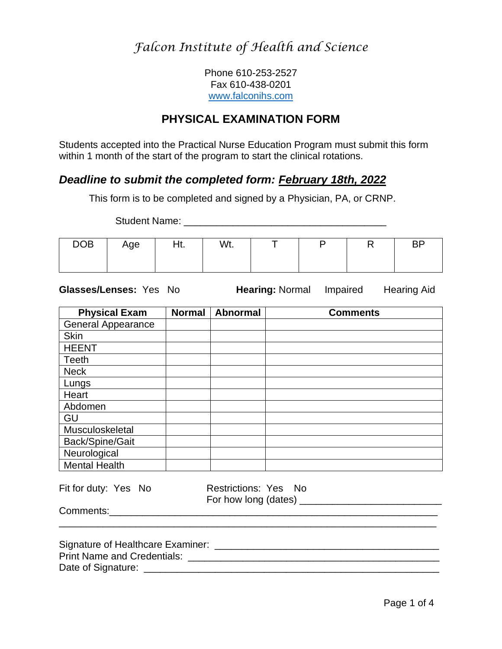Phone 610-253-2527 Fax 610-438-0201 [www.falconihs.com](http://www.falconihs.com/)

### **PHYSICAL EXAMINATION FORM**

Students accepted into the Practical Nurse Education Program must submit this form within 1 month of the start of the program to start the clinical rotations.

### *Deadline to submit the completed form: February 18th, 2022*

This form is to be completed and signed by a Physician, PA, or CRNP.

Student Name: **Example 2018** 

| <b>DOB</b> | Age | Ht. | Wt. |  | $\mathbf{I}$ | <b>BP</b> |
|------------|-----|-----|-----|--|--------------|-----------|
|            |     |     |     |  |              |           |
|            |     |     |     |  |              |           |

**Glasses/Lenses:** Yes No **Hearing:** Normal Impaired Hearing Aid

 $\mathcal{L}_\text{max} = \mathcal{L}_\text{max} = \frac{1}{2} \sum_{i=1}^{n} \frac{1}{2} \sum_{i=1}^{n} \frac{1}{2} \sum_{i=1}^{n} \frac{1}{2} \sum_{i=1}^{n} \frac{1}{2} \sum_{i=1}^{n} \frac{1}{2} \sum_{i=1}^{n} \frac{1}{2} \sum_{i=1}^{n} \frac{1}{2} \sum_{i=1}^{n} \frac{1}{2} \sum_{i=1}^{n} \frac{1}{2} \sum_{i=1}^{n} \frac{1}{2} \sum_{i=1}^{n} \frac{1}{2} \sum$ 

| <b>Physical Exam</b>      | <b>Normal</b> | <b>Abnormal</b>                              | <b>Comments</b> |
|---------------------------|---------------|----------------------------------------------|-----------------|
| <b>General Appearance</b> |               |                                              |                 |
| <b>Skin</b>               |               |                                              |                 |
| <b>HEENT</b>              |               |                                              |                 |
| <b>Teeth</b>              |               |                                              |                 |
| <b>Neck</b>               |               |                                              |                 |
| Lungs                     |               |                                              |                 |
| Heart                     |               |                                              |                 |
| Abdomen                   |               |                                              |                 |
| GU                        |               |                                              |                 |
| Musculoskeletal           |               |                                              |                 |
| Back/Spine/Gait           |               |                                              |                 |
| Neurological              |               |                                              |                 |
| <b>Mental Health</b>      |               |                                              |                 |
| Fit for duty: Yes No      |               | Restrictions: Yes No<br>For how long (dates) |                 |

Comments:\_\_\_\_\_\_\_\_\_\_\_\_\_\_\_\_\_\_\_\_\_\_\_\_\_\_\_\_\_\_\_\_\_\_\_\_\_\_\_\_\_\_\_\_\_\_\_\_\_\_\_\_\_\_\_\_\_\_\_\_

Signature of Healthcare Examiner: \_\_\_\_\_\_\_\_\_\_\_\_\_\_\_\_\_\_\_\_\_\_\_\_\_\_\_\_\_\_\_\_\_\_\_\_\_\_\_\_\_ Print Name and Credentials: \_\_\_\_\_\_\_\_\_\_\_\_\_\_\_\_\_\_\_\_\_\_\_\_\_\_\_\_\_\_\_\_\_\_\_\_\_\_\_\_\_\_\_\_\_\_ Date of Signature: \_\_\_\_\_\_\_\_\_\_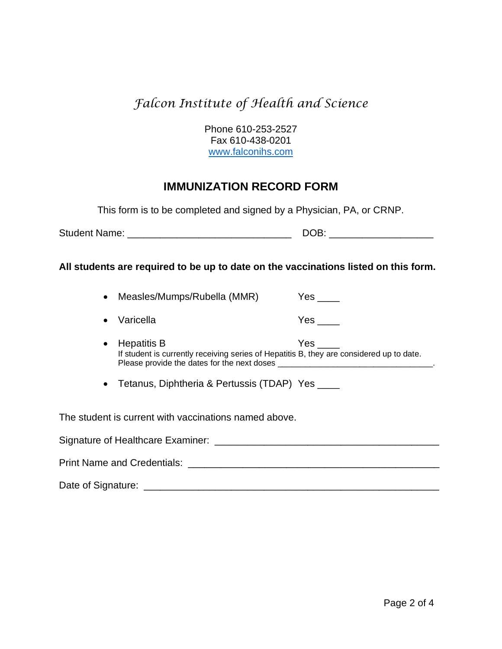Phone 610-253-2527 Fax 610-438-0201 [www.falconihs.com](http://www.falconihs.com/)

### **IMMUNIZATION RECORD FORM**

This form is to be completed and signed by a Physician, PA, or CRNP.

| <b>Student Name:</b> |  |
|----------------------|--|
|----------------------|--|

#### **All students are required to be up to date on the vaccinations listed on this form.**

- Measles/Mumps/Rubella (MMR) Yes \_\_\_\_
- Varicella Yes \_\_\_\_
- Hepatitis B Yes \_\_\_\_ If student is currently receiving series of Hepatitis B, they are considered up to date. Please provide the dates for the next doses \_\_\_\_\_\_\_\_\_\_\_\_\_\_\_\_\_\_\_\_\_\_\_\_\_\_\_\_\_\_\_\_\_\_.

• Tetanus, Diphtheria & Pertussis (TDAP) Yes \_\_\_\_

The student is current with vaccinations named above.

| Signature of Healthcare Examiner:  |  |
|------------------------------------|--|
| <b>Print Name and Credentials:</b> |  |
| Date of Signature:                 |  |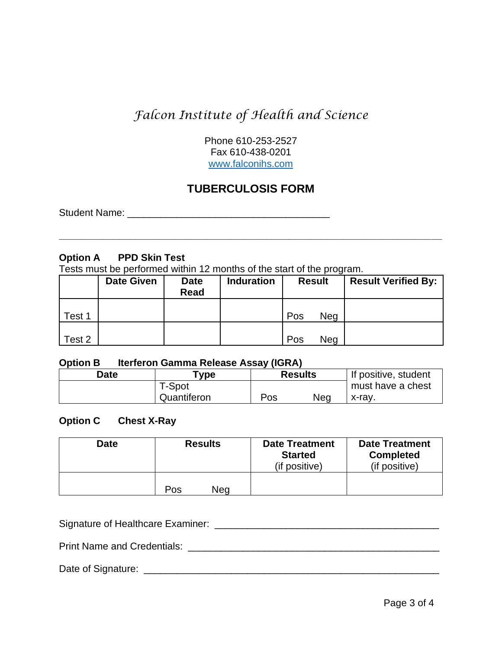Phone 610-253-2527 Fax 610-438-0201 [www.falconihs.com](http://www.falconihs.com/)

### **TUBERCULOSIS FORM**

**\_\_\_\_\_\_\_\_\_\_\_\_\_\_\_\_\_\_\_\_\_\_\_\_\_\_\_\_\_\_\_\_\_\_\_\_\_\_\_\_\_\_\_\_\_\_\_\_\_\_\_\_\_\_\_\_\_\_\_\_\_\_\_\_\_\_\_\_\_\_**

Student Name: **We are all that the student Name:**  $\mathcal{L} = \{x_i, y_i\}$ 

#### **Option A PPD Skin Test**

Tests must be performed within 12 months of the start of the program.

|        | <b>Date Given</b> | <b>Date</b><br><b>Read</b> | <b>Induration</b> | <b>Result</b>     | <b>Result Verified By:</b> |
|--------|-------------------|----------------------------|-------------------|-------------------|----------------------------|
| Test 1 |                   |                            |                   | Pos<br><b>Neg</b> |                            |
| Test 2 |                   |                            |                   | Pos<br><b>Neg</b> |                            |

#### **Option B Iterferon Gamma Release Assay (IGRA)**

| Date | "ype        |     | <b>Results</b> | If positive, student |
|------|-------------|-----|----------------|----------------------|
|      | T-Spot      |     |                | must have a chest    |
|      | Quantiferon | Pos | Nea            | x-rav.               |

#### **Option C Chest X-Ray**

| <b>Date</b> | <b>Results</b> | <b>Date Treatment</b><br><b>Started</b><br>(if positive) | <b>Date Treatment</b><br><b>Completed</b><br>(if positive) |
|-------------|----------------|----------------------------------------------------------|------------------------------------------------------------|
|             | Pos<br>Nea     |                                                          |                                                            |

Signature of Healthcare Examiner: \_\_\_\_\_\_\_\_\_\_\_\_\_\_\_\_\_\_\_\_\_\_\_\_\_\_\_\_\_\_\_\_\_\_\_\_\_\_\_\_\_

Print Name and Credentials: \_\_\_\_\_\_\_\_\_\_\_\_\_\_\_\_\_\_\_\_\_\_\_\_\_\_\_\_\_\_\_\_\_\_\_\_\_\_\_\_\_\_\_\_\_\_

Date of Signature: \_\_\_\_\_\_\_\_\_\_\_\_\_\_\_\_\_\_\_\_\_\_\_\_\_\_\_\_\_\_\_\_\_\_\_\_\_\_\_\_\_\_\_\_\_\_\_\_\_\_\_\_\_\_